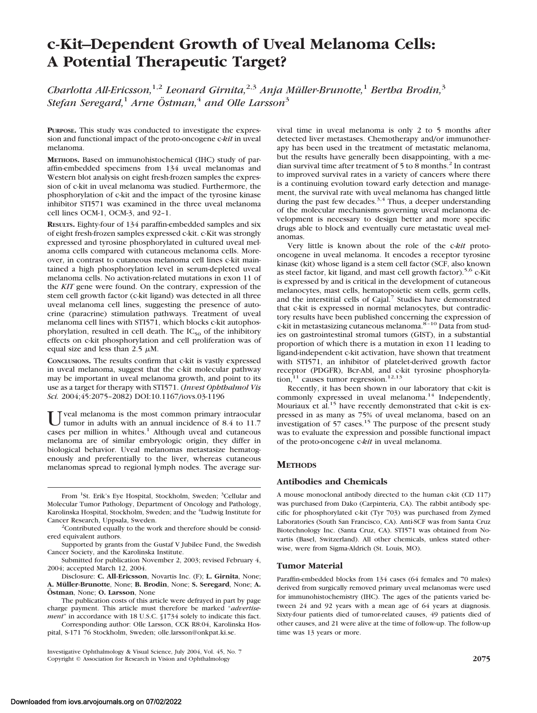# **c-Kit–Dependent Growth of Uveal Melanoma Cells: A Potential Therapeutic Target?**

*Charlotta All-Ericsson*,<sup>1,2</sup> *Leonard Girnita*,<sup>2,3</sup> *Anja Müller-Brunotte*,<sup>1</sup> *Bertha Brodin*,<sup>3</sup> *Stefan Seregard*,<sup>1</sup> *Arne Östman*,<sup>4</sup> *and Olle Larsson*<sup>3</sup>

**PURPOSE.** This study was conducted to investigate the expression and functional impact of the proto-oncogene c-*kit* in uveal melanoma.

**METHODS.** Based on immunohistochemical (IHC) study of paraffin-embedded specimens from 134 uveal melanomas and Western blot analysis on eight fresh-frozen samples the expression of c-kit in uveal melanoma was studied. Furthermore, the phosphorylation of c-kit and the impact of the tyrosine kinase inhibitor STI571 was examined in the three uveal melanoma cell lines OCM-1, OCM-3, and 92–1.

**RESULTS.** Eighty-four of 134 paraffin-embedded samples and six of eight fresh-frozen samples expressed c-kit. c-Kit was strongly expressed and tyrosine phosphorylated in cultured uveal melanoma cells compared with cutaneous melanoma cells. Moreover, in contrast to cutaneous melanoma cell lines c-kit maintained a high phosphorylation level in serum-depleted uveal melanoma cells. No activation-related mutations in exon 11 of the *KIT* gene were found. On the contrary, expression of the stem cell growth factor (c-kit ligand) was detected in all three uveal melanoma cell lines, suggesting the presence of autocrine (paracrine) stimulation pathways. Treatment of uveal melanoma cell lines with STI571, which blocks c-kit autophosphorylation, resulted in cell death. The  $IC_{50}$  of the inhibitory effects on c-kit phosphorylation and cell proliferation was of equal size and less than 2.5  $\mu$ M.

**CONCLUSIONS.** The results confirm that c-kit is vastly expressed in uveal melanoma, suggest that the c-kit molecular pathway may be important in uveal melanoma growth, and point to its use as a target for therapy with STI571. (*Invest Ophthalmol Vis Sci.* 2004;45:2075–2082) DOI:10.1167/iovs.03-1196

U veal melanoma is the most common primary intraocular<br>tumor in adults with an annual incidence of 8.4 to 11.7 cases per million in whites. $<sup>1</sup>$  Although uveal and cutaneous</sup> melanoma are of similar embryologic origin, they differ in biological behavior. Uveal melanomas metastasize hematogenously and preferentially to the liver, whereas cutaneous melanomas spread to regional lymph nodes. The average sur-

From <sup>1</sup>St. Erik's Eye Hospital, Stockholm, Sweden; <sup>3</sup>Cellular and Molecular Tumor Pathology, Department of Oncology and Pathology, Karolinska Hospital, Stockholm, Sweden; and the <sup>4</sup>Ludwig Institute for Cancer Research, Uppsala, Sweden.

 $\alpha$ <sup>2</sup>Contributed equally to the work and therefore should be considered equivalent authors.

Supported by grants from the Gustaf V Jubilee Fund, the Swedish Cancer Society, and the Karolinska Institute.

Submitted for publication November 2, 2003; revised February 4, 2004; accepted March 12, 2004.

Disclosure: **C. All-Ericsson**, Novartis Inc. (F); **L. Girnita**, None; **A. Mu¨ller-Brunotte**, None; **B. Brodin**, None; **S. Seregard**, None; **A.** Östman, None; O. Larsson, None

The publication costs of this article were defrayed in part by page charge payment. This article must therefore be marked "*advertisement*" in accordance with 18 U.S.C. §1734 solely to indicate this fact.

Corresponding author: Olle Larsson, CCK R8:04, Karolinska Hospital, S-171 76 Stockholm, Sweden; olle.larsson@onkpat.ki.se.

Investigative Ophthalmology & Visual Science, July 2004, Vol. 45, No. 7 Copyright © Association for Research in Vision and Ophthalmology **2075**

vival time in uveal melanoma is only 2 to 5 months after detected liver metastases. Chemotherapy and/or immunotherapy has been used in the treatment of metastatic melanoma, but the results have generally been disappointing, with a median survival time after treatment of 5 to 8 months.<sup>2</sup> In contrast to improved survival rates in a variety of cancers where there is a continuing evolution toward early detection and management, the survival rate with uveal melanoma has changed little during the past few decades.<sup>3,4</sup> Thus, a deeper understanding of the molecular mechanisms governing uveal melanoma development is necessary to design better and more specific drugs able to block and eventually cure metastatic uveal melanomas.

Very little is known about the role of the c-*kit* protooncogene in uveal melanoma. It encodes a receptor tyrosine kinase (kit) whose ligand is a stem cell factor (SCF, also known as steel factor, kit ligand, and mast cell growth factor).5,6 c-Kit is expressed by and is critical in the development of cutaneous melanocytes, mast cells, hematopoietic stem cells, germ cells, and the interstitial cells of Cajal. $\frac{7}{7}$  Studies have demonstrated that c-kit is expressed in normal melanocytes, but contradictory results have been published concerning the expression of c-kit in metastasizing cutaneous melanoma.<sup>8-10</sup> Data from studies on gastrointestinal stromal tumors (GIST), in a substantial proportion of which there is a mutation in exon 11 leading to ligand-independent c-kit activation, have shown that treatment with STI571, an inhibitor of platelet-derived growth factor receptor (PDGFR), Bcr-Abl, and c-kit tyrosine phosphorylation, $11$  causes tumor regression.<sup>12,13</sup>

Recently, it has been shown in our laboratory that c-kit is commonly expressed in uveal melanoma.<sup>14</sup> Independently, Mouriaux et al.<sup>15</sup> have recently demonstrated that c-kit is expressed in as many as 75% of uveal melanoma, based on an investigation of  $57$  cases.<sup>15</sup> The purpose of the present study was to evaluate the expression and possible functional impact of the proto-oncogene c-*kit* in uveal melanoma.

## **METHODS**

## **Antibodies and Chemicals**

A mouse monoclonal antibody directed to the human c-kit (CD 117) was purchased from Dako (Carpinteria, CA). The rabbit antibody specific for phosphorylated c-kit (Tyr 703) was purchased from Zymed Laboratories (South San Francisco, CA). Anti-SCF was from Santa Cruz Biotechnology Inc. (Santa Cruz, CA). STI571 was obtained from Novartis (Basel, Switzerland). All other chemicals, unless stated otherwise, were from Sigma-Aldrich (St. Louis, MO).

## **Tumor Material**

Paraffin-embedded blocks from 134 cases (64 females and 70 males) derived from surgically removed primary uveal melanomas were used for immunohistochemistry (IHC). The ages of the patients varied between 24 and 92 years with a mean age of 64 years at diagnosis. Sixty-four patients died of tumor-related causes, 49 patients died of other causes, and 21 were alive at the time of follow-up. The follow-up time was 13 years or more.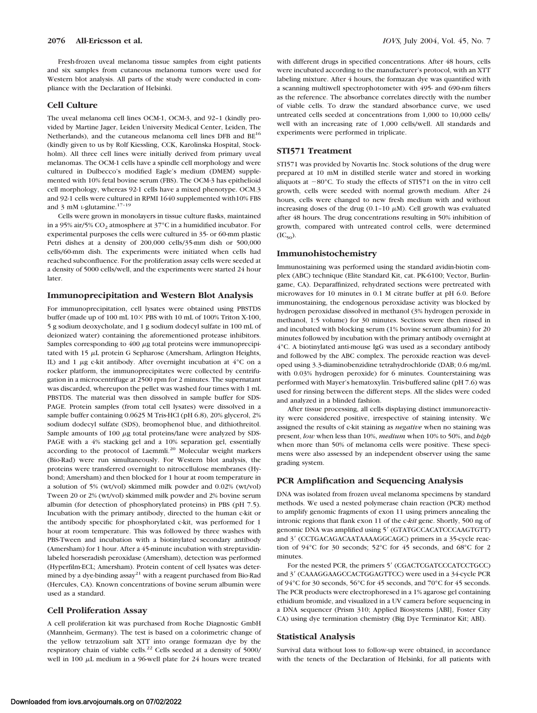Fresh-frozen uveal melanoma tissue samples from eight patients and six samples from cutaneous melanoma tumors were used for Western blot analysis. All parts of the study were conducted in compliance with the Declaration of Helsinki.

## **Cell Culture**

The uveal melanoma cell lines OCM-1, OCM-3, and 92–1 (kindly provided by Martine Jager, Leiden University Medical Center, Leiden, The Netherlands), and the cutaneous melanoma cell lines DFB and BE<sup>16</sup> (kindly given to us by Rolf Kiessling, CCK, Karolinska Hospital, Stockholm). All three cell lines were initially derived from primary uveal melanomas. The OCM-1 cells have a spindle cell morphology and were cultured in Dulbecco's modified Eagle's medium (DMEM) supplemented with 10% fetal bovine serum (FBS). The OCM-3 has epithelioid cell morphology, whereas 92-1 cells have a mixed phenotype. OCM.3 and 92-1 cells were cultured in RPMI 1640 supplemented with10% FBS and 3 mM L-glutamine.<sup>17-19</sup>

Cells were grown in monolayers in tissue culture flasks, maintained in a 95% air/5%  $CO_2$  atmosphere at 37°C in a humidified incubator. For experimental purposes the cells were cultured in 35- or 60-mm plastic Petri dishes at a density of 200,000 cells/35-mm dish or 500,000 cells/60-mm dish. The experiments were initiated when cells had reached subconfluence. For the proliferation assay cells were seeded at a density of 5000 cells/well, and the experiments were started 24 hour later.

#### **Immunoprecipitation and Western Blot Analysis**

For immunoprecipitation, cell lysates were obtained using PBSTDS buffer (made up of 100 mL  $10\times$  PBS with 10 mL of 100% Triton X-100, 5 g sodium deoxycholate, and 1 g sodium dodecyl sulfate in 100 mL of deionized water) containing the aforementioned protease inhibitors. Samples corresponding to  $400 \mu$ g total proteins were immunoprecipitated with 15  $\mu$ L protein G Sepharose (Amersham, Arlington Heights, IL) and 1  $\mu$ g c-kit antibody. After overnight incubation at 4°C on a rocker platform, the immunoprecipitates were collected by centrifugation in a microcentrifuge at 2500 rpm for 2 minutes. The supernatant was discarded, whereupon the pellet was washed four times with 1 mL PBSTDS. The material was then dissolved in sample buffer for SDS-PAGE. Protein samples (from total cell lysates) were dissolved in a sample buffer containing 0.0625 M Tris-HCl (pH 6.8), 20% glycerol, 2% sodium dodecyl sulfate (SDS), bromophenol blue, and dithiothreitol. Sample amounts of 100  $\mu$ g total proteins/lane were analyzed by SDS-PAGE with a 4% stacking gel and a 10% separation gel, essentially according to the protocol of Laemmli.<sup>20</sup> Molecular weight markers (Bio-Rad) were run simultaneously. For Western blot analysis, the proteins were transferred overnight to nitrocellulose membranes (Hybond; Amersham) and then blocked for 1 hour at room temperature in a solution of 5% (wt/vol) skimmed milk powder and 0.02% (wt/vol) Tween 20 or 2% (wt/vol) skimmed milk powder and 2% bovine serum albumin (for detection of phosphorylated proteins) in PBS (pH 7.5). Incubation with the primary antibody, directed to the human c-kit or the antibody specific for phosphorylated c-kit, was performed for 1 hour at room temperature. This was followed by three washes with PBS-Tween and incubation with a biotinylated secondary antibody (Amersham) for 1 hour. After a 45-minute incubation with streptavidinlabeled horseradish peroxidase (Amersham), detection was performed (Hyperfilm-ECL; Amersham). Protein content of cell lysates was determined by a dye-binding assay<sup>21</sup> with a reagent purchased from Bio-Rad (Hercules, CA). Known concentrations of bovine serum albumin were used as a standard.

### **Cell Proliferation Assay**

A cell proliferation kit was purchased from Roche Diagnostic GmbH (Mannheim, Germany). The test is based on a colorimetric change of the yellow tetrazolium salt XTT into orange formazan dye by the respiratory chain of viable cells.<sup>22</sup> Cells seeded at a density of 5000/ well in 100  $\mu$ L medium in a 96-well plate for 24 hours were treated

with different drugs in specified concentrations. After 48 hours, cells were incubated according to the manufacturer's protocol, with an XTT labeling mixture. After 4 hours, the formazan dye was quantified with a scanning multiwell spectrophotometer with 495- and 690-nm filters as the reference. The absorbance correlates directly with the number of viable cells. To draw the standard absorbance curve, we used untreated cells seeded at concentrations from 1,000 to 10,000 cells/ well with an increasing rate of 1,000 cells/well. All standards and experiments were performed in triplicate.

#### **STI571 Treatment**

STI571 was provided by Novartis Inc. Stock solutions of the drug were prepared at 10 mM in distilled sterile water and stored in working aliquots at  $-80^{\circ}$ C. To study the effects of STI571 on the in vitro cell growth, cells were seeded with normal growth medium. After 24 hours, cells were changed to new fresh medium with and without increasing doses of the drug (0.1-10  $\mu$ M). Cell growth was evaluated after 48 hours. The drug concentrations resulting in 50% inhibition of growth, compared with untreated control cells, were determined  $(IC_{50})$ .

#### **Immunohistochemistry**

Immunostaining was performed using the standard avidin-biotin complex (ABC) technique (Elite Standard Kit, cat. PK-6100; Vector, Burlingame, CA). Deparaffinized, rehydrated sections were pretreated with microwaves for 10 minutes in 0.1 M citrate buffer at pH 6.0. Before immunostaining, the endogenous peroxidase activity was blocked by hydrogen peroxidase dissolved in methanol (3% hydrogen peroxide in methanol, 1:5 volume) for 30 minutes. Sections were then rinsed in and incubated with blocking serum (1% bovine serum albumin) for 20 minutes followed by incubation with the primary antibody overnight at 4°C. A biotinylated anti-mouse IgG was used as a secondary antibody and followed by the ABC complex. The peroxide reaction was developed using 3.3-diaminobenzidine tetrahydrochloride (DAB; 0.6 mg/mL with 0.03% hydrogen peroxide) for 6 minutes. Counterstaining was performed with Mayer's hematoxylin. Tris-buffered saline (pH 7.6) was used for rinsing between the different steps. All the slides were coded and analyzed in a blinded fashion.

After tissue processing, all cells displaying distinct immunoreactivity were considered positive, irrespective of staining intensity. We assigned the results of c-kit staining as *negative* when no staining was present, *low* when less than 10%, *medium* when 10% to 50%, and *high* when more than 50% of melanoma cells were positive. These specimens were also assessed by an independent observer using the same grading system.

#### **PCR Amplification and Sequencing Analysis**

DNA was isolated from frozen uveal melanoma specimens by standard methods. We used a nested polymerase chain reaction (PCR) method to amplify genomic fragments of exon 11 using primers annealing the intronic regions that flank exon 11 of the c-*kit* gene. Shortly, 500 ng of genomic DNA was amplified using 5' (GTATGCCACATCCCAAGTGTT) and 3' (CCTGACAGACAATAAAAGGCAGC) primers in a 35-cycle reaction of 94°C for 30 seconds; 52°C for 45 seconds, and 68°C for 2 minutes.

For the nested PCR, the primers 5' (CGACTCGATCCCATCCTGCC) and 3' (CAAAGGAAGCCACTGGAGTTCC) were used in a 34-cycle PCR of 94°C for 30 seconds, 56°C for 45 seconds, and 70°C for 45 seconds. The PCR products were electrophoresed in a 1% agarose gel containing ethidium bromide, and visualized in a UV camera before sequencing in a DNA sequencer (Prism 310; Applied Biosystems [ABI], Foster City CA) using dye termination chemistry (Big Dye Terminator Kit; ABI).

#### **Statistical Analysis**

Survival data without loss to follow-up were obtained, in accordance with the tenets of the Declaration of Helsinki, for all patients with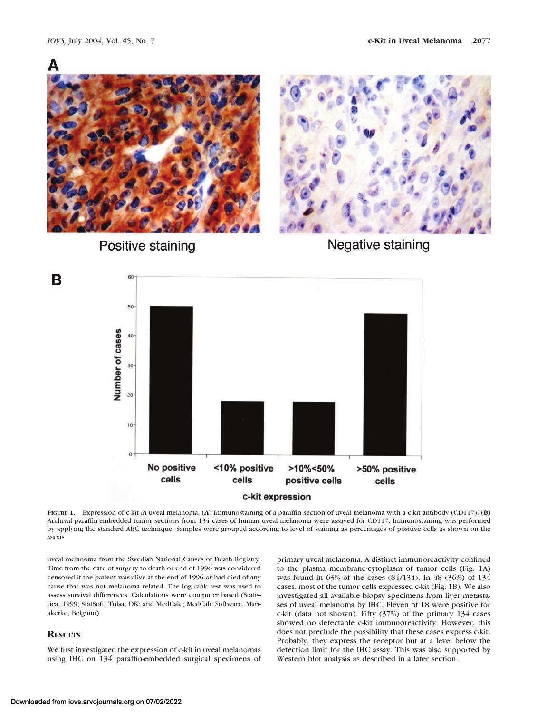

Positive staining

Negative staining



**FIGURE 1.** Expression of c-kit in uveal melanoma. (**A**) Immunostaining of a paraffin section of uveal melanoma with a c-kit antibody (CD117). (**B**) Archival paraffin-embedded tumor sections from 134 cases of human uveal melanoma were assayed for CD117. Immunostaining was performed by applying the standard ABC technique. Samples were grouped according to level of staining as percentages of positive cells as shown on the *x*-axis

uveal melanoma from the Swedish National Causes of Death Registry. Time from the date of surgery to death or end of 1996 was considered censored if the patient was alive at the end of 1996 or had died of any cause that was not melanoma related. The log rank test was used to assess survival differences. Calculations were computer based (Statistica, 1999; StatSoft, Tulsa, OK; and MedCalc; MedCalc Software, Mariakerke, Belgium).

## **RESULTS**

We first investigated the expression of c-kit in uveal melanomas using IHC on 134 paraffin-embedded surgical specimens of

primary uveal melanoma. A distinct immunoreactivity confined to the plasma membrane-cytoplasm of tumor cells (Fig. 1A) was found in 63% of the cases (84/134). In 48 (36%) of 134 cases, most of the tumor cells expressed c-kit (Fig. 1B). We also investigated all available biopsy specimens from liver metastases of uveal melanoma by IHC. Eleven of 18 were positive for c-kit (data not shown). Fifty (37%) of the primary 134 cases showed no detectable c-kit immunoreactivity. However, this does not preclude the possibility that these cases express c-kit. Probably, they express the receptor but at a level below the detection limit for the IHC assay. This was also supported by Western blot analysis as described in a later section.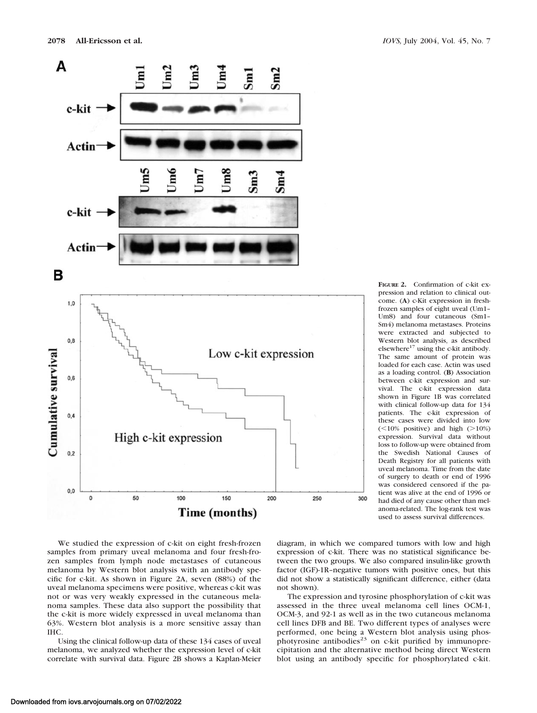

**FIGURE 2.** Confirmation of c-kit expression and relation to clinical outcome. (**A**) c-Kit expression in freshfrozen samples of eight uveal (Um1– Um8) and four cutaneous (Sm1– Sm4) melanoma metastases. Proteins were extracted and subjected to Western blot analysis, as described elsewhere $17$  using the c-kit antibody. The same amount of protein was loaded for each case. Actin was used as a loading control. (**B**) Association between c-kit expression and survival. The c-kit expression data shown in Figure 1B was correlated with clinical follow-up data for 134 patients. The c-kit expression of these cases were divided into low  $(<10\%$  positive) and high  $(>10\%)$ expression. Survival data without loss to follow-up were obtained from the Swedish National Causes of Death Registry for all patients with uveal melanoma. Time from the date of surgery to death or end of 1996 was considered censored if the patient was alive at the end of 1996 or had died of any cause other than melanoma-related. The log-rank test was used to assess survival differences.

We studied the expression of c-kit on eight fresh-frozen samples from primary uveal melanoma and four fresh-frozen samples from lymph node metastases of cutaneous melanoma by Western blot analysis with an antibody specific for c-kit. As shown in Figure 2A, seven (88%) of the uveal melanoma specimens were positive, whereas c-kit was not or was very weakly expressed in the cutaneous melanoma samples. These data also support the possibility that the c-kit is more widely expressed in uveal melanoma than 63%. Western blot analysis is a more sensitive assay than IHC.

Using the clinical follow-up data of these 134 cases of uveal melanoma, we analyzed whether the expression level of c-kit correlate with survival data. Figure 2B shows a Kaplan-Meier

diagram, in which we compared tumors with low and high expression of c-kit. There was no statistical significance between the two groups. We also compared insulin-like growth factor (IGF)-1R–negative tumors with positive ones, but this did not show a statistically significant difference, either (data not shown).

The expression and tyrosine phosphorylation of c-kit was assessed in the three uveal melanoma cell lines OCM-1, OCM-3, and 92-1 as well as in the two cutaneous melanoma cell lines DFB and BE. Two different types of analyses were performed, one being a Western blot analysis using phosphotyrosine antibodies $23$  on c-kit purified by immunoprecipitation and the alternative method being direct Western blot using an antibody specific for phosphorylated c-kit.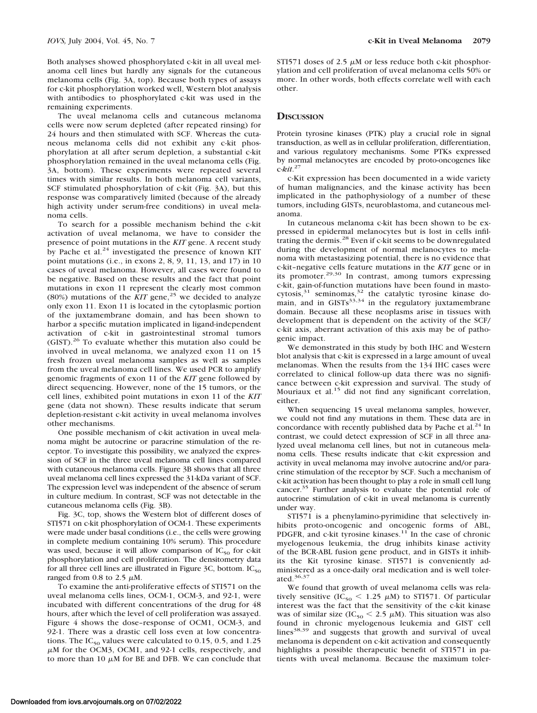Both analyses showed phosphorylated c-kit in all uveal melanoma cell lines but hardly any signals for the cutaneous melanoma cells (Fig. 3A, top). Because both types of assays for c-kit phosphorylation worked well, Western blot analysis with antibodies to phosphorylated c-kit was used in the remaining experiments.

The uveal melanoma cells and cutaneous melanoma cells were now serum depleted (after repeated rinsing) for 24 hours and then stimulated with SCF. Whereas the cutaneous melanoma cells did not exhibit any c-kit phosphorylation at all after serum depletion, a substantial c-kit phosphorylation remained in the uveal melanoma cells (Fig. 3A, bottom). These experiments were repeated several times with similar results. In both melanoma cell variants, SCF stimulated phosphorylation of c-kit (Fig. 3A), but this response was comparatively limited (because of the already high activity under serum-free conditions) in uveal melanoma cells.

To search for a possible mechanism behind the c-kit activation of uveal melanoma, we have to consider the presence of point mutations in the *KIT* gene. A recent study by Pache et al.<sup>24</sup> investigated the presence of known KIT point mutations (i.e., in exons 2, 8, 9, 11, 13, and 17) in 10 cases of uveal melanoma. However, all cases were found to be negative. Based on these results and the fact that point mutations in exon 11 represent the clearly most common (80%) mutations of the  $\overline{KIT}$  gene,<sup>25</sup> we decided to analyze only exon 11. Exon 11 is located in the cytoplasmic portion of the juxtamembrane domain, and has been shown to harbor a specific mutation implicated in ligand-independent activation of c-kit in gastrointestinal stromal tumors  $(GIST)$ <sup>26</sup> To evaluate whether this mutation also could be involved in uveal melanoma, we analyzed exon 11 on 15 fresh frozen uveal melanoma samples as well as samples from the uveal melanoma cell lines. We used PCR to amplify genomic fragments of exon 11 of the *KIT* gene followed by direct sequencing. However, none of the 15 tumors, or the cell lines, exhibited point mutations in exon 11 of the *KIT* gene (data not shown). These results indicate that serum depletion-resistant c-kit activity in uveal melanoma involves other mechanisms.

One possible mechanism of c-kit activation in uveal melanoma might be autocrine or paracrine stimulation of the receptor. To investigate this possibility, we analyzed the expression of SCF in the three uveal melanoma cell lines compared with cutaneous melanoma cells. Figure 3B shows that all three uveal melanoma cell lines expressed the 31-kDa variant of SCF. The expression level was independent of the absence of serum in culture medium. In contrast, SCF was not detectable in the cutaneous melanoma cells (Fig. 3B).

Fig. 3C, top, shows the Western blot of different doses of STI571 on c-kit phosphorylation of OCM-1. These experiments were made under basal conditions (i.e., the cells were growing in complete medium containing 10% serum). This procedure was used, because it will allow comparison of  $IC_{50}$  for c-kit phosphorylation and cell proliferation. The densitometry data for all three cell lines are illustrated in Figure 3C, bottom.  $IC_{50}$ ranged from 0.8 to 2.5  $\mu$ M.

To examine the anti-proliferative effects of STI571 on the uveal melanoma cells lines, OCM-1, OCM-3, and 92-1, were incubated with different concentrations of the drug for 48 hours, after which the level of cell proliferation was assayed. Figure 4 shows the dose–response of OCM1, OCM-3, and 92-1. There was a drastic cell loss even at low concentrations. The IC<sub>50</sub> values were calculated to 0.15, 0.5, and 1.25  $\mu$ M for the OCM3, OCM1, and 92-1 cells, respectively, and to more than 10  $\mu$ M for BE and DFB. We can conclude that STI571 doses of 2.5  $\mu$ M or less reduce both c-kit phosphorylation and cell proliferation of uveal melanoma cells 50% or more. In other words, both effects correlate well with each other.

## **DISCUSSION**

Protein tyrosine kinases (PTK) play a crucial role in signal transduction, as well as in cellular proliferation, differentiation, and various regulatory mechanisms. Some PTKs expressed by normal melanocytes are encoded by proto-oncogenes like c-*kit*. 27

c-Kit expression has been documented in a wide variety of human malignancies, and the kinase activity has been implicated in the pathophysiology of a number of these tumors, including GISTs, neuroblastoma, and cutaneous melanoma.

In cutaneous melanoma c-kit has been shown to be expressed in epidermal melanocytes but is lost in cells infiltrating the dermis.<sup>28</sup> Even if c-kit seems to be downregulated during the development of normal melanocytes to melanoma with metastasizing potential, there is no evidence that c-kit–negative cells feature mutations in the *KIT* gene or in its promoter.<sup>29,30</sup> In contrast, among tumors expressing c-kit, gain-of-function mutations have been found in mastocytosis, $31$  seminomas,  $32$  the catalytic tyrosine kinase domain, and in  $GISTs^{33,34}$  in the regulatory juxtamembrane domain. Because all these neoplasms arise in tissues with development that is dependent on the activity of the SCF/ c-kit axis, aberrant activation of this axis may be of pathogenic impact.

We demonstrated in this study by both IHC and Western blot analysis that c-kit is expressed in a large amount of uveal melanomas. When the results from the 134 IHC cases were correlated to clinical follow-up data there was no significance between c-kit expression and survival. The study of Mouriaux et al.<sup>15</sup> did not find any significant correlation, either.

When sequencing 15 uveal melanoma samples, however, we could not find any mutations in them. These data are in concordance with recently published data by Pache et al.<sup>24</sup> In contrast, we could detect expression of SCF in all three analyzed uveal melanoma cell lines, but not in cutaneous melanoma cells. These results indicate that c-kit expression and activity in uveal melanoma may involve autocrine and/or paracrine stimulation of the receptor by SCF. Such a mechanism of c-kit activation has been thought to play a role in small cell lung cancer.<sup>35</sup> Further analysis to evaluate the potential role of autocrine stimulation of c-kit in uveal melanoma is currently under way.

STI571 is a phenylamino-pyrimidine that selectively inhibits proto-oncogenic and oncogenic forms of ABL, PDGFR, and c-kit tyrosine kinases.<sup>11</sup> In the case of chronic myelogenous leukemia, the drug inhibits kinase activity of the BCR-ABL fusion gene product, and in GISTs it inhibits the Kit tyrosine kinase. STI571 is conveniently administered as a once-daily oral medication and is well tolerated.36,37

We found that growth of uveal melanoma cells was relatively sensitive (IC<sub>50</sub>  $\lt$  1.25  $\mu$ M) to STI571. Of particular interest was the fact that the sensitivity of the c-kit kinase was of similar size (IC<sub>50</sub>  $\leq$  2.5  $\mu$ M). This situation was also found in chronic myelogenous leukemia and GIST cell lines<sup>38,39</sup> and suggests that growth and survival of uveal melanoma is dependent on c-kit activation and consequently highlights a possible therapeutic benefit of STI571 in patients with uveal melanoma. Because the maximum toler-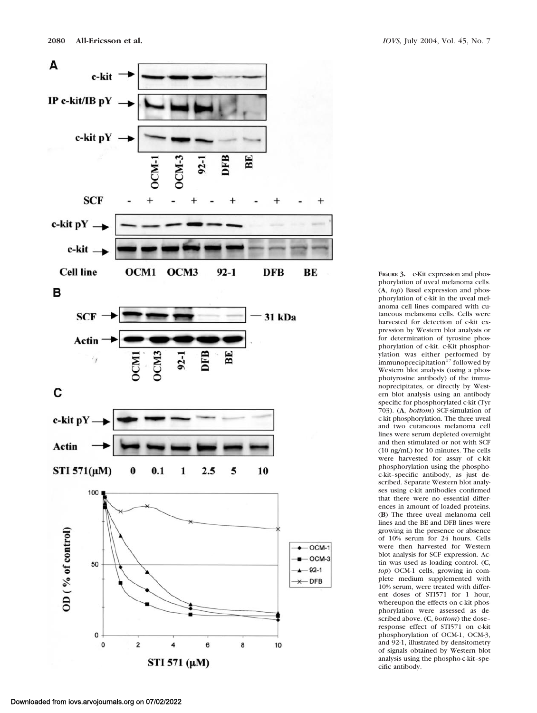

**FIGURE 3.** c-Kit expression and phosphorylation of uveal melanoma cells. (**A**, *top*) Basal expression and phosphorylation of c-kit in the uveal melanoma cell lines compared with cutaneous melanoma cells. Cells were harvested for detection of c-kit expression by Western blot analysis or for determination of tyrosine phosphorylation of c-kit. c-Kit phosphorylation was either performed by immunoprecipitation $17$  followed by Western blot analysis (using a phosphotyrosine antibody) of the immunoprecipitates, or directly by Western blot analysis using an antibody specific for phosphorylated c-kit (Tyr 703). (**A**, *bottom*) SCF-simulation of c-kit phosphorylation. The three uveal and two cutaneous melanoma cell lines were serum depleted overnight and then stimulated or not with SCF (10 ng/mL) for 10 minutes. The cells were harvested for assay of c-kit phosphorylation using the phosphoc-kit–specific antibody, as just described. Separate Western blot analyses using c-kit antibodies confirmed that there were no essential differences in amount of loaded proteins. (**B**) The three uveal melanoma cell lines and the BE and DFB lines were growing in the presence or absence of 10% serum for 24 hours. Cells were then harvested for Western blot analysis for SCF expression. Actin was used as loading control. (**C**, *top*) OCM-1 cells, growing in complete medium supplemented with 10% serum, were treated with different doses of STI571 for 1 hour, whereupon the effects on c-kit phosphorylation were assessed as described above. (**C**, *bottom*) the dose– response effect of STI571 on c-kit phosphorylation of OCM-1, OCM-3, and 92-1, illustrated by densitometry of signals obtained by Western blot analysis using the phospho-c-kit–specific antibody.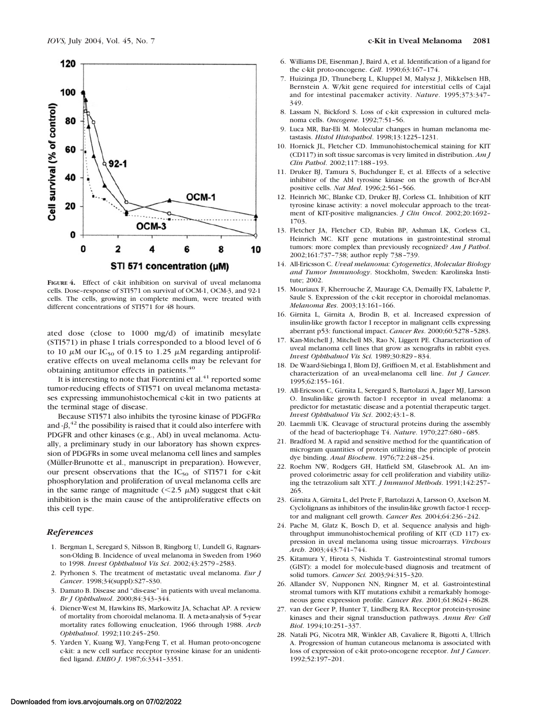

**FIGURE 4.** Effect of c-kit inhibition on survival of uveal melanoma cells. Dose–response of STI571 on survival of OCM-1, OCM-3, and 92-1 cells. The cells, growing in complete medium, were treated with different concentrations of STI571 for 48 hours.

ated dose (close to 1000 mg/d) of imatinib mesylate (STI571) in phase I trials corresponded to a blood level of 6 to 10  $\mu$ M our IC<sub>50</sub> of 0.15 to 1.25  $\mu$ M regarding antiproliferative effects on uveal melanoma cells may be relevant for obtaining antitumor effects in patients.<sup>40</sup>

It is interesting to note that Fiorentini et al. $^{41}$  reported some tumor-reducing effects of STI571 on uveal melanoma metastases expressing immunohistochemical c-kit in two patients at the terminal stage of disease.

Because STI571 also inhibits the tyrosine kinase of PDGFR $\alpha$ and  $-\beta$ ,<sup>42</sup> the possibility is raised that it could also interfere with PDGFR and other kinases (e.g., Abl) in uveal melanoma. Actually, a preliminary study in our laboratory has shown expression of PDGFRs in some uveal melanoma cell lines and samples (Müller-Brunotte et al., manuscript in preparation). However, our present observations that the  $IC_{50}$  of STI571 for c-kit phosphorylation and proliferation of uveal melanoma cells are in the same range of magnitude ( $\leq$ 2.5  $\mu$ M) suggest that c-kit inhibition is the main cause of the antiproliferative effects on this cell type.

#### *References*

- 1. Bergman L, Seregard S, Nilsson B, Ringborg U, Lundell G, Ragnarsson-Olding B. Incidence of uveal melanoma in Sweden from 1960 to 1998. *Invest Ophthalmol Vis Sci*. 2002;43:2579–2583.
- 2. Pyrhonen S. The treatment of metastatic uveal melanoma. *Eur J Cancer*. 1998;34(suppl):S27–S30.
- 3. Damato B. Disease and "dis-ease" in patients with uveal melanoma. *Br J Ophthalmol*. 2000;84:343–344.
- 4. Diener-West M, Hawkins BS, Markowitz JA, Schachat AP. A review of mortality from choroidal melanoma. II. A meta-analysis of 5-year mortality rates following enucleation, 1966 through 1988. *Arch Ophthalmol*. 1992;110:245–250.
- 5. Yarden Y, Kuang WJ, Yang-Feng T, et al. Human proto-oncogene c-kit: a new cell surface receptor tyrosine kinase for an unidentified ligand. *EMBO J*. 1987;6:3341–3351.
- 6. Williams DE, Eisenman J, Baird A, et al. Identification of a ligand for the c-kit proto-oncogene. *Cell*. 1990;63:167–174.
- 7. Huizinga JD, Thuneberg L, Kluppel M, Malysz J, Mikkelsen HB, Bernstein A. W/kit gene required for interstitial cells of Cajal and for intestinal pacemaker activity. *Nature*. 1995;373:347– 349.
- 8. Lassam N, Bickford S. Loss of c-kit expression in cultured melanoma cells. *Oncogene*. 1992;7:51–56.
- 9. Luca MR, Bar-Eli M. Molecular changes in human melanoma metastasis. *Histol Histopathol*. 1998;13:1225–1231.
- 10. Hornick JL, Fletcher CD. Immunohistochemical staining for KIT (CD117) in soft tissue sarcomas is very limited in distribution. *Am J Clin Pathol*. 2002;117:188–193.
- 11. Druker BJ, Tamura S, Buchdunger E, et al. Effects of a selective inhibitor of the Abl tyrosine kinase on the growth of Bcr-Abl positive cells. *Nat Med*. 1996;2:561–566.
- 12. Heinrich MC, Blanke CD, Druker BJ, Corless CL. Inhibition of KIT tyrosine kinase activity: a novel molecular approach to the treatment of KIT-positive malignancies. *J Clin Oncol*. 2002;20:1692– 1703.
- 13. Fletcher JA, Fletcher CD, Rubin BP, Ashman LK, Corless CL, Heinrich MC. KIT gene mutations in gastrointestinal stromal tumors: more complex than previously recognized? *Am J Pathol*. 2002;161:737–738; author reply 738–739.
- 14. All-Ericsson C. *Uveal melanoma: Cytogenetics*, *Molecular Biology and Tumor Immunology*. Stockholm, Sweden: Karolinska Institute; 2002.
- 15. Mouriaux F, Kherrouche Z, Maurage CA, Demailly FX, Labalette P, Saule S. Expression of the c-kit receptor in choroidal melanomas. *Melanoma Res*. 2003;13:161–166.
- 16. Girnita L, Girnita A, Brodin B, et al. Increased expression of insulin-like growth factor I receptor in malignant cells expressing aberrant p53: functional impact. *Cancer Res*. 2000;60:5278–5283.
- 17. Kan-Mitchell J, Mitchell MS, Rao N, Liggett PE. Characterization of uveal melanoma cell lines that grow as xenografts in rabbit eyes. *Invest Ophthalmol Vis Sci.* 1989;30:829–834.
- 18. De Waard-Siebinga I, Blom DJ, Griffioen M, et al. Establishment and characterization of an uveal-melanoma cell line. *Int J Cancer.* 1995;62:155–161.
- 19. All-Ericsson C, Girnita L, Seregard S, Bartolazzi A, Jager MJ, Larsson O. Insulin-like growth factor-1 receptor in uveal melanoma: a predictor for metastatic disease and a potential therapeutic target. *Invest Ophthalmol Vis Sci*. 2002;43:1–8.
- 20. Laemmli UK. Cleavage of structural proteins during the assembly of the head of bacteriophage T4. *Nature*. 1970;227:680–685.
- 21. Bradford M. A rapid and sensitive method for the quantification of microgram quantities of protein utilizing the principle of protein dye binding. *Anal Biochem*. 1976;72:248–254.
- 22. Roehm NW, Rodgers GH, Hatfield SM, Glasebrook AL. An improved colorimetric assay for cell proliferation and viability utilizing the tetrazolium salt XTT. *J Immunol Methods*. 1991;142:257– 265.
- 23. Girnita A, Girnita L, del Prete F, Bartolazzi A, Larsson O, Axelson M. Cyclolignans as inhibitors of the insulin-like growth factor-1 receptor and malignant cell growth. *Cancer Res.* 2004;64:236–242.
- 24. Pache M, Glatz K, Bosch D, et al. Sequence analysis and highthroughput immunohistochemical profiling of KIT (CD 117) expression in uveal melanoma using tissue microarrays. *Virchows Arch*. 2003;443:741–744.
- 25. Kitamura Y, Hirota S, Nishida T. Gastrointestinal stromal tumors (GIST): a model for molecule-based diagnosis and treatment of solid tumors. *Cancer Sci.* 2003;94:315–320.
- 26. Allander SV, Nupponen NN, Ringner M, et al. Gastrointestinal stromal tumors with KIT mutations exhibit a remarkably homogeneous gene expression profile. *Cancer Res*. 2001;61:8624–8628.
- 27. van der Geer P, Hunter T, Lindberg RA. Receptor protein-tyrosine kinases and their signal transduction pathways. *Annu Rev Cell Biol*. 1994;10:251–337.
- 28. Natali PG, Nicotra MR, Winkler AB, Cavaliere R, Bigotti A, Ullrich A. Progression of human cutaneous melanoma is associated with loss of expression of c-kit proto-oncogene receptor. *Int J Cancer*. 1992;52:197–201.